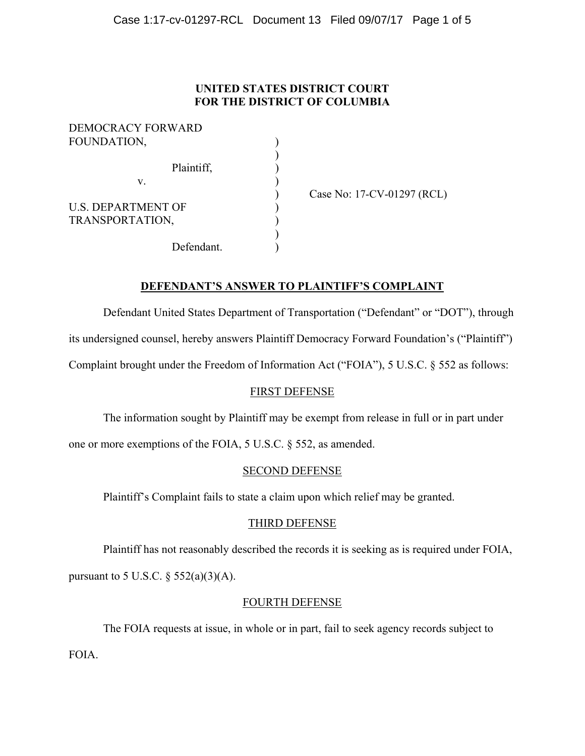# **UNITED STATES DISTRICT COURT FOR THE DISTRICT OF COLUMBIA**

| DEMOCRACY FORWARD         |  |
|---------------------------|--|
| FOUNDATION,               |  |
|                           |  |
| Plaintiff,                |  |
| V.                        |  |
|                           |  |
| <b>U.S. DEPARTMENT OF</b> |  |
| TRANSPORTATION,           |  |
|                           |  |
| Defendant.                |  |

) Case No: 17-CV-01297 (RCL)

# **DEFENDANT'S ANSWER TO PLAINTIFF'S COMPLAINT**

 Defendant United States Department of Transportation ("Defendant" or "DOT"), through its undersigned counsel, hereby answers Plaintiff Democracy Forward Foundation's ("Plaintiff")

Complaint brought under the Freedom of Information Act ("FOIA"), 5 U.S.C. § 552 as follows:

# FIRST DEFENSE

The information sought by Plaintiff may be exempt from release in full or in part under

one or more exemptions of the FOIA, 5 U.S.C. § 552, as amended.

## SECOND DEFENSE

Plaintiff's Complaint fails to state a claim upon which relief may be granted.

## THIRD DEFENSE

 Plaintiff has not reasonably described the records it is seeking as is required under FOIA, pursuant to 5 U.S.C.  $\S$  552(a)(3)(A).

## FOURTH DEFENSE

 The FOIA requests at issue, in whole or in part, fail to seek agency records subject to FOIA.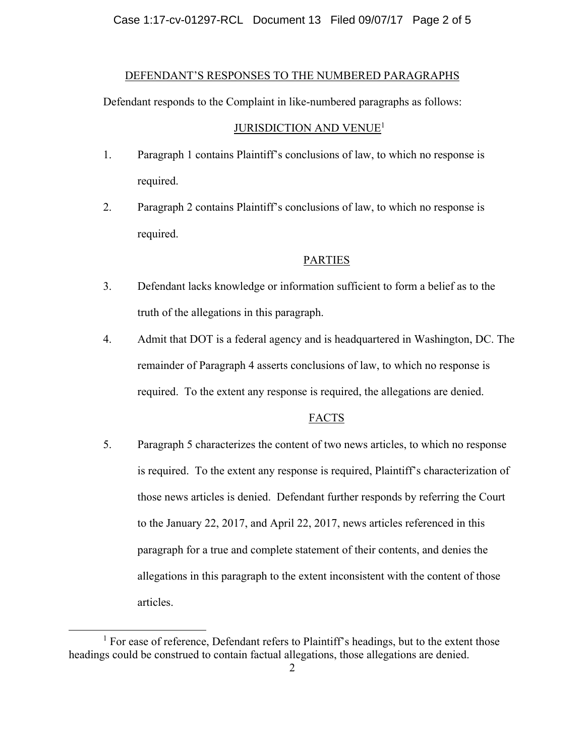Case 1:17-cv-01297-RCL Document 13 Filed 09/07/17 Page 2 of 5

#### DEFENDANT'S RESPONSES TO THE NUMBERED PARAGRAPHS

Defendant responds to the Complaint in like-numbered paragraphs as follows:

#### JURISDICTION AND VENUE<sup>1</sup>

- 1. Paragraph 1 contains Plaintiff's conclusions of law, to which no response is required.
- 2. Paragraph 2 contains Plaintiff's conclusions of law, to which no response is required.

### PARTIES

- 3. Defendant lacks knowledge or information sufficient to form a belief as to the truth of the allegations in this paragraph.
- 4. Admit that DOT is a federal agency and is headquartered in Washington, DC. The remainder of Paragraph 4 asserts conclusions of law, to which no response is required. To the extent any response is required, the allegations are denied.

#### FACTS

5. Paragraph 5 characterizes the content of two news articles, to which no response is required. To the extent any response is required, Plaintiff's characterization of those news articles is denied. Defendant further responds by referring the Court to the January 22, 2017, and April 22, 2017, news articles referenced in this paragraph for a true and complete statement of their contents, and denies the allegations in this paragraph to the extent inconsistent with the content of those articles.

<sup>&</sup>lt;u>1</u>  $<sup>1</sup>$  For ease of reference, Defendant refers to Plaintiff's headings, but to the extent those</sup> headings could be construed to contain factual allegations, those allegations are denied.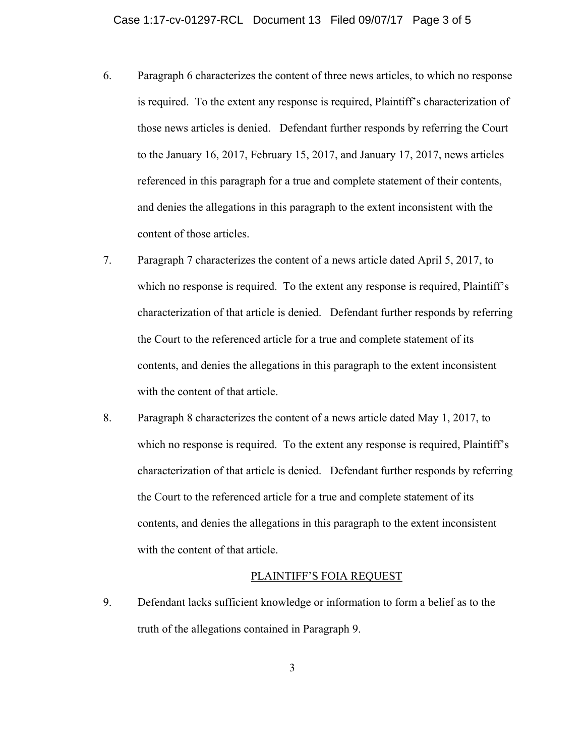- 6. Paragraph 6 characterizes the content of three news articles, to which no response is required. To the extent any response is required, Plaintiff's characterization of those news articles is denied. Defendant further responds by referring the Court to the January 16, 2017, February 15, 2017, and January 17, 2017, news articles referenced in this paragraph for a true and complete statement of their contents, and denies the allegations in this paragraph to the extent inconsistent with the content of those articles.
- 7. Paragraph 7 characterizes the content of a news article dated April 5, 2017, to which no response is required. To the extent any response is required, Plaintiff's characterization of that article is denied. Defendant further responds by referring the Court to the referenced article for a true and complete statement of its contents, and denies the allegations in this paragraph to the extent inconsistent with the content of that article.
- 8. Paragraph 8 characterizes the content of a news article dated May 1, 2017, to which no response is required. To the extent any response is required, Plaintiff's characterization of that article is denied. Defendant further responds by referring the Court to the referenced article for a true and complete statement of its contents, and denies the allegations in this paragraph to the extent inconsistent with the content of that article.

# PLAINTIFF'S FOIA REQUEST

9. Defendant lacks sufficient knowledge or information to form a belief as to the truth of the allegations contained in Paragraph 9.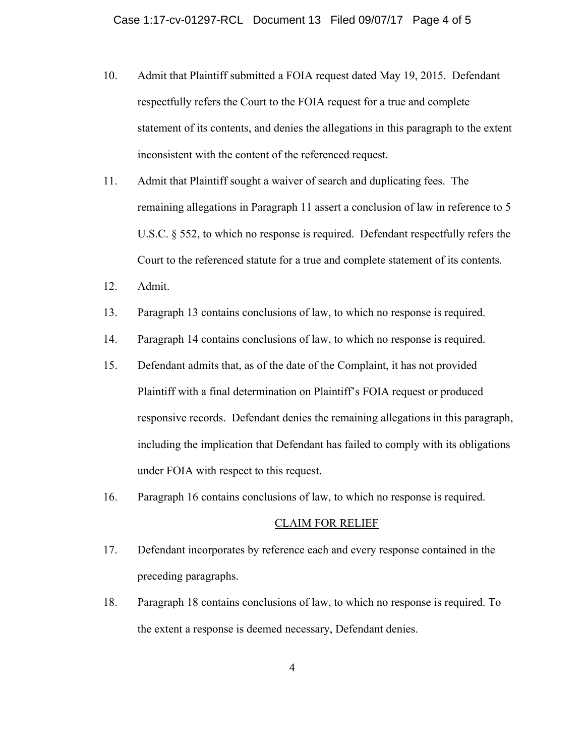- 10. Admit that Plaintiff submitted a FOIA request dated May 19, 2015. Defendant respectfully refers the Court to the FOIA request for a true and complete statement of its contents, and denies the allegations in this paragraph to the extent inconsistent with the content of the referenced request.
- 11. Admit that Plaintiff sought a waiver of search and duplicating fees. The remaining allegations in Paragraph 11 assert a conclusion of law in reference to 5 U.S.C. § 552, to which no response is required. Defendant respectfully refers the Court to the referenced statute for a true and complete statement of its contents.
- 12. Admit.
- 13. Paragraph 13 contains conclusions of law, to which no response is required.
- 14. Paragraph 14 contains conclusions of law, to which no response is required.
- 15. Defendant admits that, as of the date of the Complaint, it has not provided Plaintiff with a final determination on Plaintiff's FOIA request or produced responsive records. Defendant denies the remaining allegations in this paragraph, including the implication that Defendant has failed to comply with its obligations under FOIA with respect to this request.
- 16. Paragraph 16 contains conclusions of law, to which no response is required.

#### CLAIM FOR RELIEF

- 17. Defendant incorporates by reference each and every response contained in the preceding paragraphs.
- 18. Paragraph 18 contains conclusions of law, to which no response is required. To the extent a response is deemed necessary, Defendant denies.